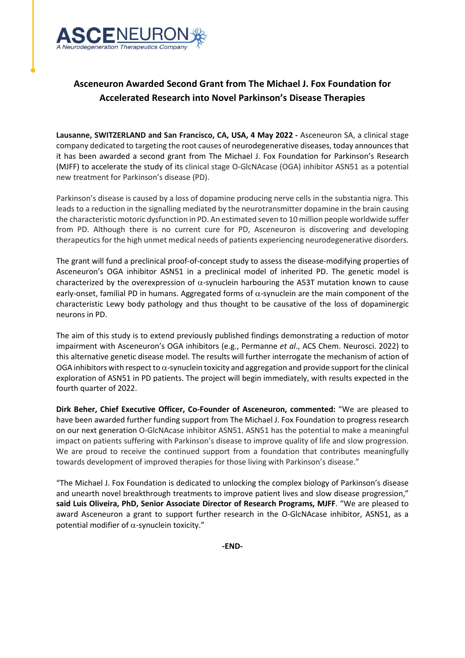

## **Asceneuron Awarded Second Grant from The Michael J. Fox Foundation for Accelerated Research into Novel Parkinson's Disease Therapies**

**Lausanne, SWITZERLAND and San Francisco, CA, USA, 4 May 2022 -** Asceneuron SA, a clinical stage company dedicated to targeting the root causes of neurodegenerative diseases, today announcesthat it has been awarded a second grant from The Michael J. Fox Foundation for Parkinson's Research (MJFF) to accelerate the study of its clinical stage O-GlcNAcase (OGA) inhibitor ASN51 as a potential new treatment for Parkinson's disease (PD).

Parkinson's disease is caused by a loss of dopamine producing nerve cells in the substantia nigra. This leads to a reduction in the signalling mediated by the neurotransmitter dopamine in the brain causing the characteristic motoric dysfunction in PD. An estimated seven to 10 million people worldwide suffer from PD. Although there is no current cure for PD, Asceneuron is discovering and developing therapeutics for the high unmet medical needs of patients experiencing neurodegenerative disorders.

The grant will fund a preclinical proof-of-concept study to assess the disease-modifying properties of Asceneuron's OGA inhibitor ASN51 in a preclinical model of inherited PD. The genetic model is characterized by the overexpression of  $\alpha$ -synuclein harbouring the A53T mutation known to cause early-onset, familial PD in humans. Aggregated forms of  $\alpha$ -synuclein are the main component of the characteristic Lewy body pathology and thus thought to be causative of the loss of dopaminergic neurons in PD.

The aim of this study is to extend previously published findings demonstrating a reduction of motor impairment with Asceneuron's OGA inhibitors (e.g., Permanne *et al*., ACS Chem. Neurosci. 2022) to this alternative genetic disease model. The results will further interrogate the mechanism of action of OGA inhibitors with respect to  $\alpha$ -synuclein toxicity and aggregation and provide support for the clinical exploration of ASN51 in PD patients. The project will begin immediately, with results expected in the fourth quarter of 2022.

**Dirk Beher, Chief Executive Officer, Co-Founder of Asceneuron, commented:** "We are pleased to have been awarded further funding support from The Michael J. Fox Foundation to progress research on our next generation O-GlcNAcase inhibitor ASN51. ASN51 has the potential to make a meaningful impact on patients suffering with Parkinson's disease to improve quality of life and slow progression. We are proud to receive the continued support from a foundation that contributes meaningfully towards development of improved therapies for those living with Parkinson's disease."

"The Michael J. Fox Foundation is dedicated to unlocking the complex biology of Parkinson's disease and unearth novel breakthrough treatments to improve patient lives and slow disease progression," **said Luis Oliveira, PhD, Senior Associate Director of Research Programs, MJFF**. "We are pleased to award Asceneuron a grant to support further research in the O-GlcNAcase inhibitor, ASN51, as a potential modifier of α-synuclein toxicity."